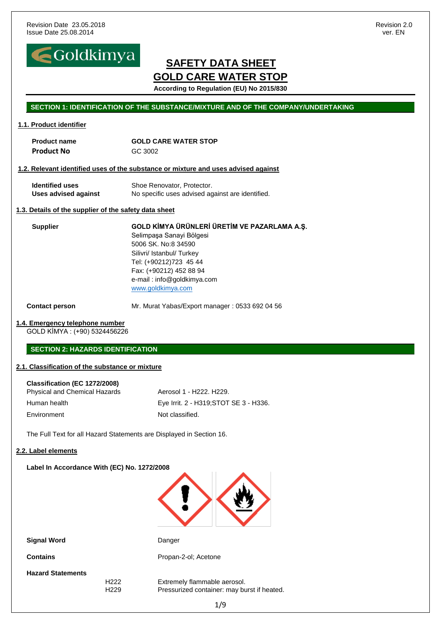

**According to Regulation (EU) No 2015/830**

#### **SECTION 1: IDENTIFICATION OF THE SUBSTANCE/MIXTURE AND OF THE COMPANY/UNDERTAKING**

#### **1.1. Product identifier**

| <b>Product name</b> | <b>GOLD CARE WATER STOP</b> |
|---------------------|-----------------------------|
| <b>Product No</b>   | GC 3002                     |

#### **1.2. Relevant identified uses of the substance or mixture and uses advised against**

| <b>Identified uses</b> | Shoe Renovator, Protector.                       |
|------------------------|--------------------------------------------------|
| Uses advised against   | No specific uses advised against are identified. |

#### **1.3. Details of the supplier of the safety data sheet**

**Supplier GOLD KİMYA ÜRÜNLERİ ÜRETİM VE PAZARLAMA A.Ş.** Selimpaşa Sanayi Bölgesi 5006 SK. No:8 34590 Silivri/ Istanbul/ Turkey Tel: (+90212)723 45 44 Fax: (+90212) 452 88 94 e-mail : info@goldkimya.com [www.goldkimya.com](http://www.goldkimya.com/)

**Contact person** Mr. Murat Yabas/Export manager: 0533 692 04 56

#### **1.4. Emergency telephone number**

GOLD KİMYA : (+90) 5324456226

#### **SECTION 2: HAZARDS IDENTIFICATION**

#### **2.1. Classification of the substance or mixture**

| Classification (EC 1272/2008)        |                                       |
|--------------------------------------|---------------------------------------|
| <b>Physical and Chemical Hazards</b> | Aerosol 1 - H222, H229.               |
| Human health                         | Eye Irrit. 2 - H319:STOT SE 3 - H336. |
| Environment                          | Not classified.                       |

The Full Text for all Hazard Statements are Displayed in Section 16.

#### **2.2. Label elements**

#### **Label In Accordance With (EC) No. 1272/2008**



**Signal Word** Danger

**Contains Contains Propan-2-ol; Acetone** 

**Hazard Statements**

H222 Extremely flammable aerosol. H229 Pressurized container: may burst if heated.

1/9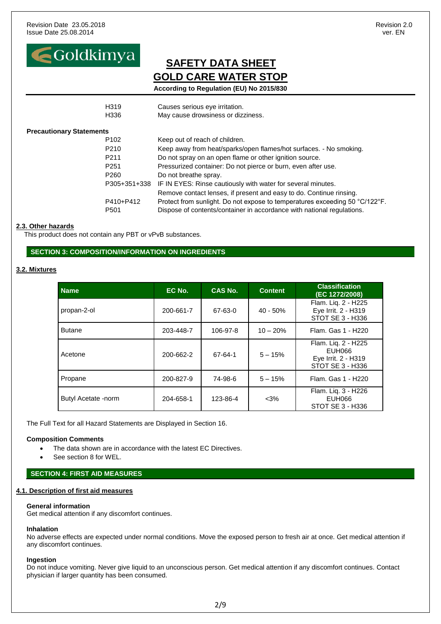

**According to Regulation (EU) No 2015/830**

|                                 | H <sub>319</sub> | Causes serious eye irritation.                                              |
|---------------------------------|------------------|-----------------------------------------------------------------------------|
|                                 | H336             | May cause drowsiness or dizziness.                                          |
| <b>Precautionary Statements</b> |                  |                                                                             |
|                                 | P <sub>102</sub> | Keep out of reach of children.                                              |
|                                 | P <sub>210</sub> | Keep away from heat/sparks/open flames/hot surfaces. - No smoking.          |
|                                 | P <sub>211</sub> | Do not spray on an open flame or other ignition source.                     |
|                                 | P <sub>251</sub> | Pressurized container: Do not pierce or burn, even after use.               |
|                                 | P <sub>260</sub> | Do not breathe spray.                                                       |
|                                 | P305+351+338     | IF IN EYES: Rinse cautiously with water for several minutes.                |
|                                 |                  | Remove contact lenses, if present and easy to do. Continue rinsing.         |
|                                 | P410+P412        | Protect from sunlight. Do not expose to temperatures exceeding 50 °C/122°F. |
|                                 | P <sub>501</sub> | Dispose of contents/container in accordance with national regulations.      |

#### **2.3. Other hazards**

This product does not contain any PBT or vPvB substances.

#### **SECTION 3: COMPOSITION/INFORMATION ON INGREDIENTS**

#### **3.2. Mixtures**

| <b>Name</b>         | EC No.    | <b>CAS No.</b> | <b>Content</b> | <b>Classification</b><br>(EC 1272/2008)                                  |
|---------------------|-----------|----------------|----------------|--------------------------------------------------------------------------|
| propan-2-ol         | 200-661-7 | 67-63-0        | $40 - 50%$     | Flam. Liq. 2 - H225<br>Eye Irrit. 2 - H319<br>STOT SE 3 - H336           |
| <b>Butane</b>       | 203-448-7 | 106-97-8       | $10 - 20%$     | Flam. Gas 1 - H220                                                       |
| Acetone             | 200-662-2 | 67-64-1        | $5 - 15%$      | Flam. Liq. 2 - H225<br>EUH066<br>Eye Irrit. 2 - H319<br>STOT SE 3 - H336 |
| Propane             | 200-827-9 | 74-98-6        | $5 - 15%$      | Flam. Gas 1 - H220                                                       |
| Butyl Acetate -norm | 204-658-1 | 123-86-4       | $<$ 3%         | Flam. Lig. 3 - H226<br>EUH066<br>STOT SE 3 - H336                        |

The Full Text for all Hazard Statements are Displayed in Section 16.

#### **Composition Comments**

- The data shown are in accordance with the latest EC Directives.
- See section 8 for WEL.

#### **SECTION 4: FIRST AID MEASURES**

#### **4.1. Description of first aid measures**

#### **General information**

Get medical attention if any discomfort continues.

#### **Inhalation**

No adverse effects are expected under normal conditions. Move the exposed person to fresh air at once. Get medical attention if any discomfort continues.

#### **Ingestion**

Do not induce vomiting. Never give liquid to an unconscious person. Get medical attention if any discomfort continues. Contact physician if larger quantity has been consumed.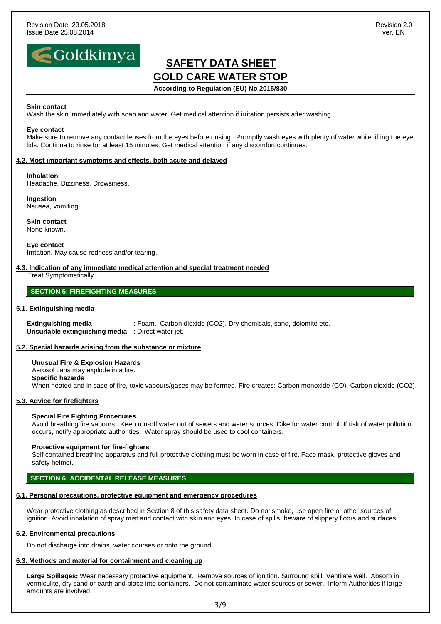

#### **According to Regulation (EU) No 2015/830**

#### **Skin contact**

Wash the skin immediately with soap and water. Get medical attention if irritation persists after washing.

#### **Eye contact**

Make sure to remove any contact lenses from the eyes before rinsing. Promptly wash eyes with plenty of water while lifting the eye lids. Continue to rinse for at least 15 minutes. Get medical attention if any discomfort continues.

#### **4.2. Most important symptoms and effects, both acute and delayed**

#### **Inhalation**

Headache. Dizziness. Drowsiness.

**Ingestion** Nausea, vomiting.

**Skin contact** None known.

**Eye contact** Irritation. May cause redness and/or tearing.

### **4.3. Indication of any immediate medical attention and special treatment needed**

Treat Symptomatically.

#### **SECTION 5: FIREFIGHTING MEASURES**

#### **5.1. Extinguishing media**

**Extinguishing media : Foam. Carbon dioxide (CO2). Dry chemicals, sand, dolomite etc. Unsuitable extinguishing media :** Direct water jet.

#### **5.2. Special hazards arising from the substance or mixture**

**Unusual Fire & Explosion Hazards** Aerosol cans may explode in a fire. **Specific hazards** When heated and in case of fire, toxic vapours/gases may be formed. Fire creates: Carbon monoxide (CO). Carbon dioxide (CO2).

#### **5.3. Advice for firefighters**

#### **Special Fire Fighting Procedures**

Avoid breathing fire vapours. Keep run-off water out of sewers and water sources. Dike for water control. If risk of water pollution occurs, notify appropriate authorities. Water spray should be used to cool containers.

#### **Protective equipment for fire-fighters**

Self contained breathing apparatus and full protective clothing must be worn in case of fire. Face mask, protective gloves and safety helmet.

#### **SECTION 6: ACCIDENTAL RELEASE MEASURES**

#### **6.1. Personal precautions, protective equipment and emergency procedures**

Wear protective clothing as described in Section 8 of this safety data sheet. Do not smoke, use open fire or other sources of ignition. Avoid inhalation of spray mist and contact with skin and eyes. In case of spills, beware of slippery floors and surfaces.

#### **6.2. Environmental precautions**

Do not discharge into drains, water courses or onto the ground.

#### **6.3. Methods and material for containment and cleaning up**

**Large Spillages:** Wear necessary protective equipment. Remove sources of ignition. Surround spill. Ventilate well. Absorb in vermiculite, dry sand or earth and place into containers. Do not contaminate water sources or sewer. Inform Authorities if large amounts are involved.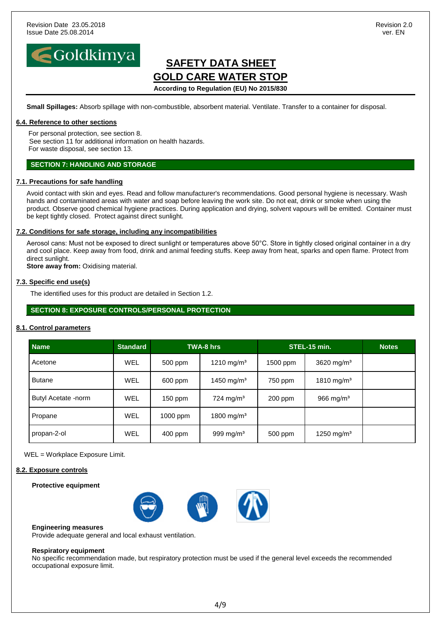

## **SAFETY DATA SHEET GOLD CARE WATER STOP According to Regulation (EU) No 2015/830**

**Small Spillages:** Absorb spillage with non-combustible, absorbent material. Ventilate. Transfer to a container for disposal.

#### **6.4. Reference to other sections**

For personal protection, see section 8. See section 11 for additional information on health hazards. For waste disposal, see section 13.

#### **SECTION 7: HANDLING AND STORAGE**

#### **7.1. Precautions for safe handling**

Avoid contact with skin and eyes. Read and follow manufacturer's recommendations. Good personal hygiene is necessary. Wash hands and contaminated areas with water and soap before leaving the work site. Do not eat, drink or smoke when using the product. Observe good chemical hygiene practices. During application and drying, solvent vapours will be emitted. Container must be kept tightly closed. Protect against direct sunlight.

#### **7.2. Conditions for safe storage, including any incompatibilities**

Aerosol cans: Must not be exposed to direct sunlight or temperatures above 50°C. Store in tightly closed original container in a dry and cool place. Keep away from food, drink and animal feeding stuffs. Keep away from heat, sparks and open flame. Protect from direct sunlight.

**Store away from:** Oxidising material.

#### **7.3. Specific end use(s)**

The identified uses for this product are detailed in Section 1.2.

#### **SECTION 8: EXPOSURE CONTROLS/PERSONAL PROTECTION**

#### **8.1. Control parameters**

| <b>Name</b>         | <b>Standard</b> |           | <b>TWA-8 hrs</b>        |           | STEL-15 min.           | <b>Notes</b> |
|---------------------|-----------------|-----------|-------------------------|-----------|------------------------|--------------|
| Acetone             | WEL             | 500 ppm   | 1210 mg/m <sup>3</sup>  | 1500 ppm  | 3620 mg/m <sup>3</sup> |              |
| <b>Butane</b>       | WEL             | 600 ppm   | 1450 mg/m <sup>3</sup>  | 750 ppm   | 1810 mg/m <sup>3</sup> |              |
| Butyl Acetate -norm | <b>WEL</b>      | $150$ ppm | $724$ mg/m <sup>3</sup> | $200$ ppm | 966 mg/ $m3$           |              |
| Propane             | WEL             | 1000 ppm  | 1800 mg/m <sup>3</sup>  |           |                        |              |
| propan-2-ol         | <b>WEL</b>      | 400 ppm   | 999 mg/m <sup>3</sup>   | 500 ppm   | 1250 mg/m <sup>3</sup> |              |

WEL = Workplace Exposure Limit.

#### **8.2. Exposure controls**

#### **Protective equipment**



#### **Engineering measures**

Provide adequate general and local exhaust ventilation.

#### **Respiratory equipment**

No specific recommendation made, but respiratory protection must be used if the general level exceeds the recommended occupational exposure limit.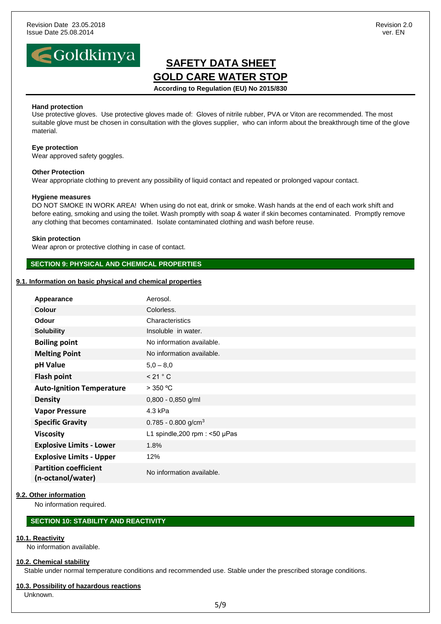

**According to Regulation (EU) No 2015/830**

#### **Hand protection**

Use protective gloves. Use protective gloves made of: Gloves of nitrile rubber, PVA or Viton are recommended. The most suitable glove must be chosen in consultation with the gloves supplier, who can inform about the breakthrough time of the glove material.

#### **Eye protection**

Wear approved safety goggles.

#### **Other Protection**

Wear appropriate clothing to prevent any possibility of liquid contact and repeated or prolonged vapour contact.

#### **Hygiene measures**

DO NOT SMOKE IN WORK AREA! When using do not eat, drink or smoke. Wash hands at the end of each work shift and before eating, smoking and using the toilet. Wash promptly with soap & water if skin becomes contaminated. Promptly remove any clothing that becomes contaminated. Isolate contaminated clothing and wash before reuse.

#### **Skin protection**

Wear apron or protective clothing in case of contact.

#### **SECTION 9: PHYSICAL AND CHEMICAL PROPERTIES**

#### **9.1. Information on basic physical and chemical properties**

| Appearance                                        | Aerosol.                              |
|---------------------------------------------------|---------------------------------------|
| <b>Colour</b>                                     | Colorless.                            |
| <b>Odour</b>                                      | Characteristics                       |
| <b>Solubility</b>                                 | Insoluble in water.                   |
| <b>Boiling point</b>                              | No information available.             |
| <b>Melting Point</b>                              | No information available.             |
| pH Value                                          | $5,0 - 8,0$                           |
| <b>Flash point</b>                                | < 21 °C                               |
| <b>Auto-Ignition Temperature</b>                  | $>$ 350 °C                            |
| <b>Density</b>                                    | $0,800 - 0,850$ g/ml                  |
| <b>Vapor Pressure</b>                             | 4.3 kPa                               |
| <b>Specific Gravity</b>                           | 0.785 - 0.800 g/cm <sup>3</sup>       |
| <b>Viscosity</b>                                  | L1 spindle, $200$ rpm : <50 $\mu$ Pas |
| <b>Explosive Limits - Lower</b>                   | 1.8%                                  |
| <b>Explosive Limits - Upper</b>                   | 12%                                   |
| <b>Partition coefficient</b><br>(n-octanol/water) | No information available.             |

#### **9.2. Other information**

No information required.

#### **SECTION 10: STABILITY AND REACTIVITY**

#### **10.1. Reactivity**

No information available.

#### **10.2. Chemical stability**

Stable under normal temperature conditions and recommended use. Stable under the prescribed storage conditions.

#### **10.3. Possibility of hazardous reactions**

Unknown.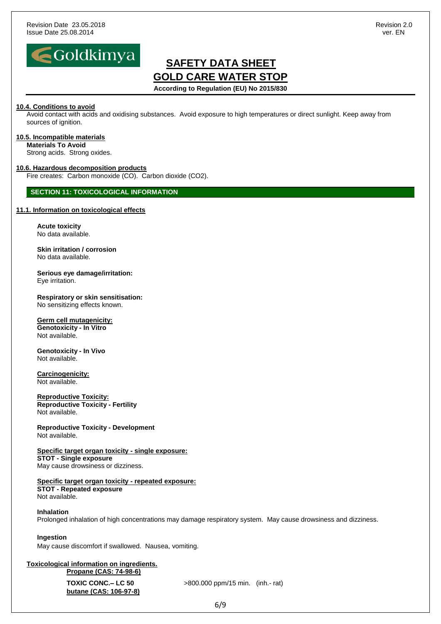

**According to Regulation (EU) No 2015/830**

#### **10.4. Conditions to avoid**

Avoid contact with acids and oxidising substances. Avoid exposure to high temperatures or direct sunlight. Keep away from sources of ignition.

#### **10.5. Incompatible materials**

**Materials To Avoid** Strong acids. Strong oxides.

#### **10.6. Hazardous decomposition products**

Fire creates: Carbon monoxide (CO). Carbon dioxide (CO2).

#### **SECTION 11: TOXICOLOGICAL INFORMATION**

#### **11.1. Information on toxicological effects**

**Acute toxicity** No data available.

**Skin irritation / corrosion** No data available.

**Serious eye damage/irritation:** Eye irritation.

**Respiratory or skin sensitisation:** No sensitizing effects known.

#### **Germ cell mutagenicity:**

**Genotoxicity - In Vitro** Not available.

**Genotoxicity - In Vivo** Not available.

**Carcinogenicity:** Not available.

**Reproductive Toxicity: Reproductive Toxicity - Fertility** Not available.

**Reproductive Toxicity - Development** Not available.

#### **Specific target organ toxicity - single exposure:**

**STOT - Single exposure** May cause drowsiness or dizziness.

#### **Specific target organ toxicity - repeated exposure:**

**STOT - Repeated exposure** Not available.

#### **Inhalation**

Prolonged inhalation of high concentrations may damage respiratory system. May cause drowsiness and dizziness.

#### **Ingestion**

May cause discomfort if swallowed. Nausea, vomiting.

#### **Toxicological information on ingredients. Propane (CAS: 74-98-6)**

**butane (CAS: 106-97-8)**

**TOXIC CONC.– LC 50** >800.000 ppm/15 min. (inh.- rat)

6/9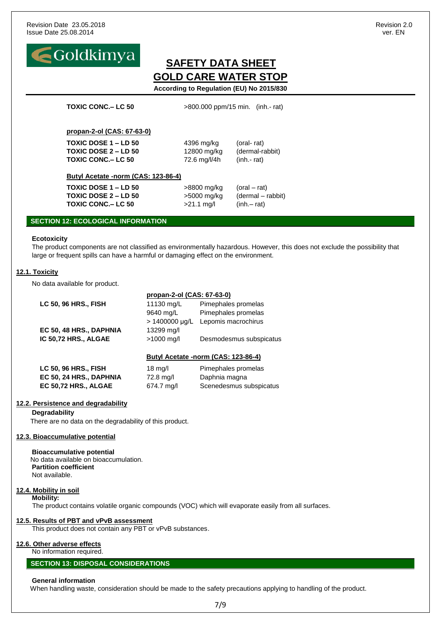

**TOXIC CONC.– LC 50** >800.000 ppm/15 min. (inh.- rat)

#### **propan-2-ol (CAS: 67-63-0)**

**TOXIC DOSE 1 – LD 50** 4396 mg/kg (oral- rat) **TOXIC DOSE 2 – LD 50** 12800 mg/kg (dermal-rabbit) **TOXIC CONC.– LC 50** 72.6 mg/l/4h (inh.- rat)

#### **Butyl Acetate -norm (CAS: 123-86-4)**

**TOXIC DOSE 1 – LD 50** >8800 mg/kg (oral – rat) **TOXIC DOSE 2 – LD 50** >5000 mg/kg (dermal – rabbit) **TOXIC CONC.– LC 50** >21.1 mg/l (inh.– rat)

#### **SECTION 12: ECOLOGICAL INFORMATION**

#### **Ecotoxicity**

The product components are not classified as environmentally hazardous. However, this does not exclude the possibility that large or frequent spills can have a harmful or damaging effect on the environment.

#### **12.1. Toxicity**

No data available for product.

|                         | propan-2-ol (CAS: 67-63-0) |                                     |
|-------------------------|----------------------------|-------------------------------------|
| LC 50, 96 HRS., FISH    | 11130 mg/L                 | Pimephales promelas                 |
|                         | 9640 mg/L                  | Pimephales promelas                 |
|                         | $> 1400000 \mu g/L$        | Lepomis macrochirus                 |
| EC 50, 48 HRS., DAPHNIA | 13299 mg/l                 |                                     |
| IC 50,72 HRS., ALGAE    | $>1000$ mg/l               | Desmodesmus subspicatus             |
|                         |                            |                                     |
|                         |                            | Butyl Acetate -norm (CAS: 123-86-4) |
| LC 50, 96 HRS., FISH    | $18 \text{ mg/l}$          | Pimephales promelas                 |
| EC 50, 24 HRS., DAPHNIA | 72.8 mg/l                  | Daphnia magna                       |

**EC 50,72 HRS., ALGAE** 674.7 mg/l Scenedesmus subspicatus

#### **12.2. Persistence and degradability**

**Degradability**

There are no data on the degradability of this product.

#### **12.3. Bioaccumulative potential**

#### **Bioaccumulative potential**

 No data available on bioaccumulation. **Partition coefficient** Not available.

#### **12.4. Mobility in soil**

**Mobility:**

The product contains volatile organic compounds (VOC) which will evaporate easily from all surfaces.

#### **12.5. Results of PBT and vPvB assessment**

This product does not contain any PBT or vPvB substances.

#### **12.6. Other adverse effects**

#### No information required.

#### **SECTION 13: DISPOSAL CONSIDERATIONS**

#### **General information**

When handling waste, consideration should be made to the safety precautions applying to handling of the product.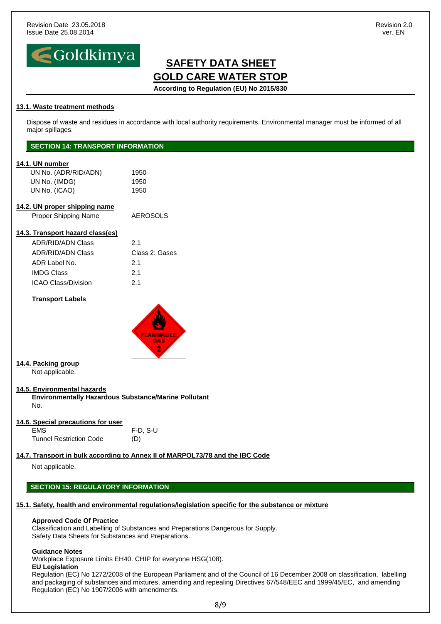

## **SAFETY DATA SHEET GOLD CARE WATER STOP According to Regulation (EU) No 2015/830**

#### **13.1. Waste treatment methods**

Dispose of waste and residues in accordance with local authority requirements. Environmental manager must be informed of all major spillages.

#### **SECTION 14: TRANSPORT INFORMATION**

#### **14.1. UN number**

| UN No. (ADR/RID/ADN) | 1950 |
|----------------------|------|
| UN No. (IMDG)        | 1950 |
| UN No. (ICAO)        | 1950 |

| 14.2. UN proper shipping name |          |
|-------------------------------|----------|
| Proper Shipping Name          | AEROSOLS |

### **14.3. Transport hazard class(es)**

| <b>ADR/RID/ADN Class</b>   | 21             |
|----------------------------|----------------|
| <b>ADR/RID/ADN Class</b>   | Class 2: Gases |
| ADR Label No.              | 21             |
| <b>IMDG Class</b>          | 21             |
| <b>ICAO Class/Division</b> | 21             |

#### **Transport Labels**



#### **14.4. Packing group** Not applicable.

#### **14.5. Environmental hazards**

**Environmentally Hazardous Substance/Marine Pollutant** No.

#### **14.6. Special precautions for user**

EMS F-D, S-U Tunnel Restriction Code (D)

#### **14.7. Transport in bulk according to Annex II of MARPOL73/78 and the IBC Code**

Not applicable.

### **SECTION 15: REGULATORY INFORMATION**

### **15.1. Safety, health and environmental regulations/legislation specific for the substance or mixture**

#### **Approved Code Of Practice**

Classification and Labelling of Substances and Preparations Dangerous for Supply. Safety Data Sheets for Substances and Preparations.

#### **Guidance Notes**

Workplace Exposure Limits EH40. CHIP for everyone HSG(108).

#### **EU Legislation**

Regulation (EC) No 1272/2008 of the European Parliament and of the Council of 16 December 2008 on classification, labelling and packaging of substances and mixtures, amending and repealing Directives 67/548/EEC and 1999/45/EC, and amending Regulation (EC) No 1907/2006 with amendments.